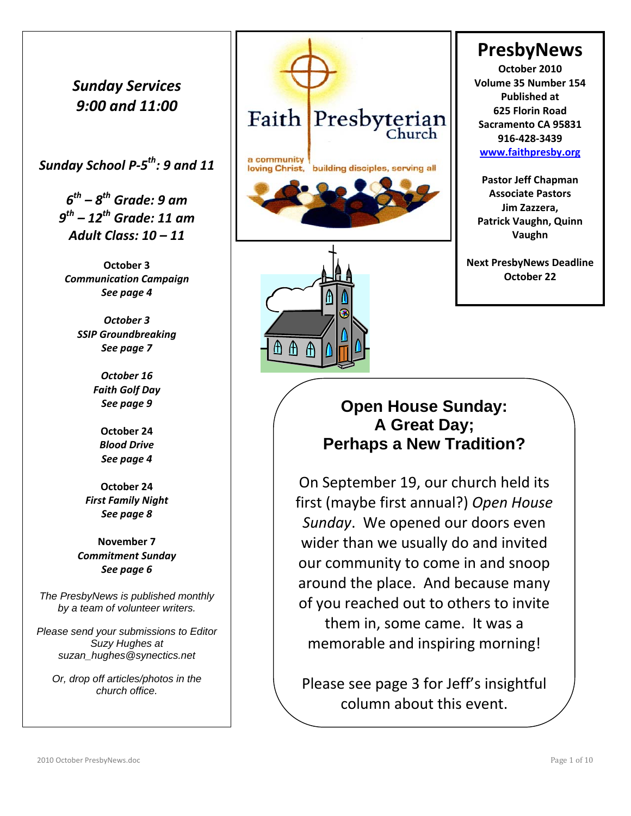## *Sunday Services 9:00 and 11:00*

*Sunday School P‐5th: 9 and 11* 

*6th – 8th Grade: 9 am 9th – 12th Grade: 11 am Adult Class: 10 – 11*

**October 3** *Communication Campaign See page 4*

*October 3 SSIP Groundbreaking See page 7*

> *October 16 Faith Golf Day See page 9*

> > **October 24** *Blood Drive See page 4*

**October 24** *First Family Night See page 8*

**November 7** *Commitment Sunday See page 6*

*The PresbyNews is published monthly by a team of volunteer writers.* 

*Please send your submissions to Editor Suzy Hughes at suzan\_hughes@synectics.net* 

*Or, drop off articles/photos in the church office.*



⊕ ⊕

A

## **PresbyNews**

**October 2010 Volume 35 Number 154 Published at 625 Florin Road Sacramento CA 95831 916‐428‐3439 www.faithpresby.org**

**Pastor Jeff Chapman Associate Pastors Jim Zazzera, Patrick Vaughn, Quinn Vaughn**

**Next PresbyNews Deadline October 22**

## **Open House Sunday: A Great Day; Perhaps a New Tradition?**

On September 19, our church held its first (maybe first annual?) *Open House Sunday*. We opened our doors even wider than we usually do and invited our community to come in and snoop around the place. And because many of you reached out to others to invite them in, some came. It was a memorable and inspiring morning!

Please see page 3 for Jeff's insightful column about this event.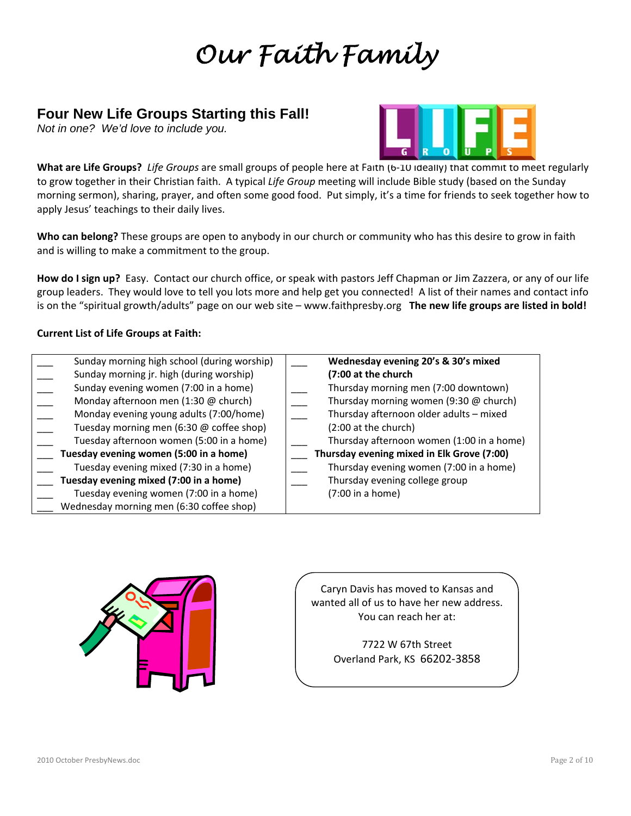## *Our Faith Family*

### **Four New Life Groups Starting this Fall!**

*Not in one? We'd love to include you.* 



**What are Life Groups?** *Life Groups* are small groups of people here at Faith (6‐10 ideally) that commit to meet regularly to grow together in their Christian faith. A typical *Life Group* meeting will include Bible study (based on the Sunday morning sermon), sharing, prayer, and often some good food. Put simply, it's a time for friends to seek together how to apply Jesus' teachings to their daily lives.

**Who can belong?** These groups are open to anybody in our church or community who has this desire to grow in faith and is willing to make a commitment to the group.

**How do I sign up?** Easy. Contact our church office, or speak with pastors Jeff Chapman or Jim Zazzera, or any of our life group leaders. They would love to tell you lots more and help get you connected! A list of their names and contact info is on the "spiritual growth/adults" page on our web site – www.faithpresby.org **The new life groups are listed in bold!**

#### **Current List of Life Groups at Faith:**

| Sunday morning high school (during worship) | Wednesday evening 20's & 30's mixed        |
|---------------------------------------------|--------------------------------------------|
| Sunday morning jr. high (during worship)    | (7:00 at the church                        |
| Sunday evening women (7:00 in a home)       | Thursday morning men (7:00 downtown)       |
| Monday afternoon men (1:30 @ church)        | Thursday morning women (9:30 @ church)     |
| Monday evening young adults (7:00/home)     | Thursday afternoon older adults - mixed    |
| Tuesday morning men (6:30 @ coffee shop)    | (2:00 at the church)                       |
| Tuesday afternoon women (5:00 in a home)    | Thursday afternoon women (1:00 in a home)  |
| Tuesday evening women (5:00 in a home)      | Thursday evening mixed in Elk Grove (7:00) |
| Tuesday evening mixed (7:30 in a home)      | Thursday evening women (7:00 in a home)    |
| Tuesday evening mixed (7:00 in a home)      | Thursday evening college group             |
| Tuesday evening women (7:00 in a home)      | (7:00 in a home)                           |
| Wednesday morning men (6:30 coffee shop)    |                                            |



Caryn Davis has moved to Kansas and wanted all of us to have her new address. You can reach her at:

> 7722 W 67th Street Overland Park, KS 66202‐3858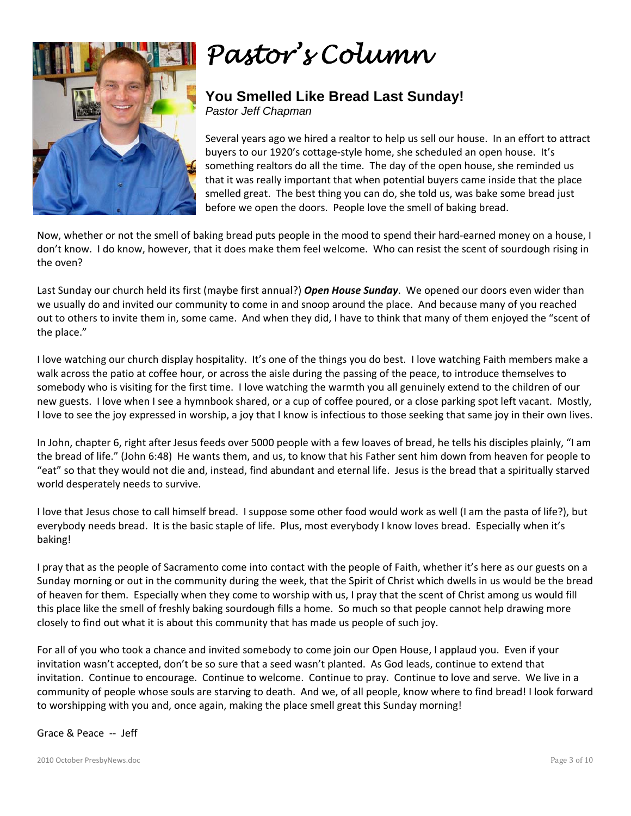

## *Pastor's Column*

## **You Smelled Like Bread Last Sunday!**

*Pastor Jeff Chapman* 

Several years ago we hired a realtor to help us sell our house. In an effort to attract buyers to our 1920's cottage‐style home, she scheduled an open house. It's something realtors do all the time. The day of the open house, she reminded us that it was really important that when potential buyers came inside that the place smelled great. The best thing you can do, she told us, was bake some bread just before we open the doors. People love the smell of baking bread.

Now, whether or not the smell of baking bread puts people in the mood to spend their hard‐earned money on a house, I don't know. I do know, however, that it does make them feel welcome. Who can resist the scent of sourdough rising in the oven?

Last Sunday our church held its first (maybe first annual?) *Open House Sunday*. We opened our doors even wider than we usually do and invited our community to come in and snoop around the place. And because many of you reached out to others to invite them in, some came. And when they did, I have to think that many of them enjoyed the "scent of the place."

I love watching our church display hospitality. It's one of the things you do best. I love watching Faith members make a walk across the patio at coffee hour, or across the aisle during the passing of the peace, to introduce themselves to somebody who is visiting for the first time. I love watching the warmth you all genuinely extend to the children of our new guests. I love when I see a hymnbook shared, or a cup of coffee poured, or a close parking spot left vacant. Mostly, I love to see the joy expressed in worship, a joy that I know is infectious to those seeking that same joy in their own lives.

In John, chapter 6, right after Jesus feeds over 5000 people with a few loaves of bread, he tells his disciples plainly, "I am the bread of life." (John 6:48) He wants them, and us, to know that his Father sent him down from heaven for people to "eat" so that they would not die and, instead, find abundant and eternal life. Jesus is the bread that a spiritually starved world desperately needs to survive.

I love that Jesus chose to call himself bread. I suppose some other food would work as well (I am the pasta of life?), but everybody needs bread. It is the basic staple of life. Plus, most everybody I know loves bread. Especially when it's baking!

I pray that as the people of Sacramento come into contact with the people of Faith, whether it's here as our guests on a Sunday morning or out in the community during the week, that the Spirit of Christ which dwells in us would be the bread of heaven for them. Especially when they come to worship with us, I pray that the scent of Christ among us would fill this place like the smell of freshly baking sourdough fills a home. So much so that people cannot help drawing more closely to find out what it is about this community that has made us people of such joy.

For all of you who took a chance and invited somebody to come join our Open House, I applaud you. Even if your invitation wasn't accepted, don't be so sure that a seed wasn't planted. As God leads, continue to extend that invitation. Continue to encourage. Continue to welcome. Continue to pray. Continue to love and serve. We live in a community of people whose souls are starving to death. And we, of all people, know where to find bread! I look forward to worshipping with you and, once again, making the place smell great this Sunday morning!

Grace & Peace ‐‐ Jeff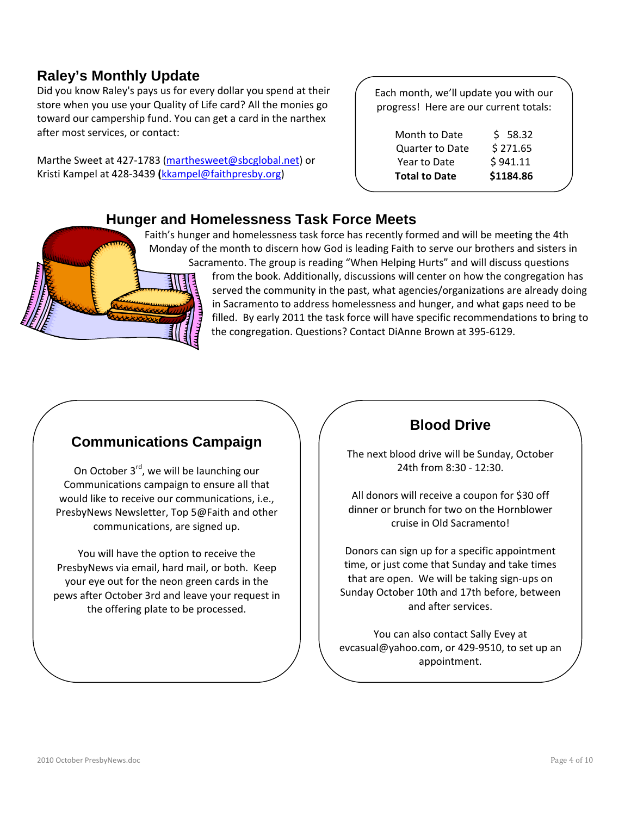## **Raley's Monthly Update**

Did you know Raley's pays us for every dollar you spend at their store when you use your Quality of Life card? All the monies go toward our campership fund. You can get a card in the narthex after most services, or contact:

Marthe Sweet at 427‐1783 (marthesweet@sbcglobal.net) or Kristi Kampel at 428‐3439 **(**kkampel@faithpresby.org)

Each month, we'll update you with our progress! Here are our current totals:

| \$58.32   |
|-----------|
| \$271.65  |
| \$941.11  |
| \$1184.86 |
|           |

#### **Hunger and Homelessness Task Force Meets**

Faith's hunger and homelessness task force has recently formed and will be meeting the 4th Monday of the month to discern how God is leading Faith to serve our brothers and sisters in Sacramento. The group is reading "When Helping Hurts" and will discuss questions from the book. Additionally, discussions will center on how the congregation has served the community in the past, what agencies/organizations are already doing in Sacramento to address homelessness and hunger, and what gaps need to be filled. By early 2011 the task force will have specific recommendations to bring to the congregation. Questions? Contact DiAnne Brown at 395‐6129.

### **Communications Campaign**

On October 3<sup>rd</sup>, we will be launching our Communications campaign to ensure all that would like to receive our communications, i.e., PresbyNews Newsletter, Top 5@Faith and other communications, are signed up.

You will have the option to receive the PresbyNews via email, hard mail, or both. Keep your eye out for the neon green cards in the pews after October 3rd and leave your request in the offering plate to be processed.

### **Blood Drive**

The next blood drive will be Sunday, October 24th from 8:30 ‐ 12:30.

All donors will receive a coupon for \$30 off dinner or brunch for two on the Hornblower cruise in Old Sacramento!

Donors can sign up for a specific appointment time, or just come that Sunday and take times that are open. We will be taking sign‐ups on Sunday October 10th and 17th before, between and after services.

You can also contact Sally Evey at evcasual@yahoo.com, or 429‐9510, to set up an appointment.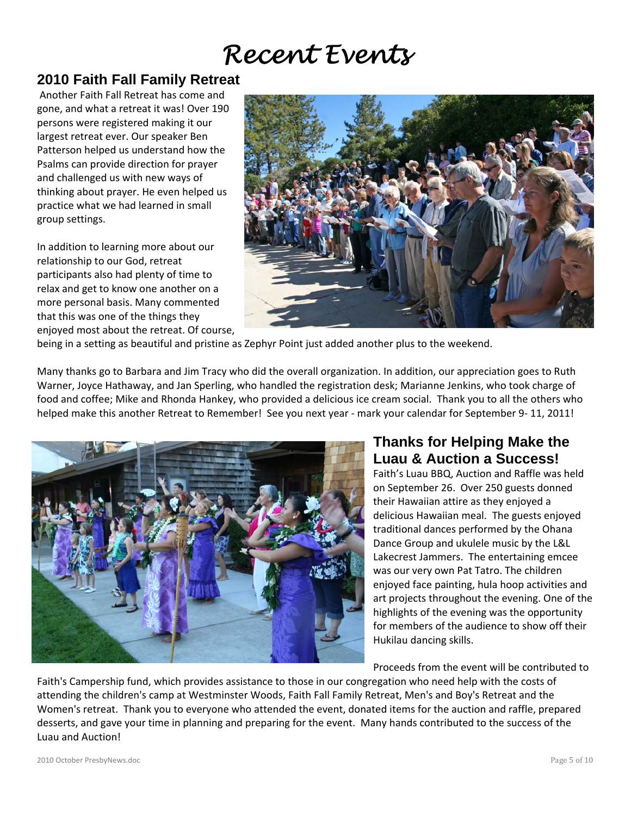## *Recent Events*

### **2010 Faith Fall Family Retreat**

Another Faith Fall Retreat has come and gone, and what a retreat it was! Over 190 persons were registered making it our largest retreat ever. Our speaker Ben Patterson helped us understand how the Psalms can provide direction for prayer and challenged us with new ways of thinking about prayer. He even helped us practice what we had learned in small group settings.

In addition to learning more about our relationship to our God, retreat participants also had plenty of time to relax and get to know one another on a more personal basis. Many commented that this was one of the things they enjoyed most about the retreat. Of course,



being in a setting as beautiful and pristine as Zephyr Point just added another plus to the weekend.

Many thanks go to Barbara and Jim Tracy who did the overall organization. In addition, our appreciation goes to Ruth Warner, Joyce Hathaway, and Jan Sperling, who handled the registration desk; Marianne Jenkins, who took charge of food and coffee; Mike and Rhonda Hankey, who provided a delicious ice cream social. Thank you to all the others who helped make this another Retreat to Remember! See you next year - mark your calendar for September 9-11, 2011!



## **Thanks for Helping Make the Luau & Auction a Success!**

Faith's Luau BBQ, Auction and Raffle was held on September 26. Over 250 guests donned their Hawaiian attire as they enjoyed a delicious Hawaiian meal. The guests enjoyed traditional dances performed by the Ohana Dance Group and ukulele music by the L&L Lakecrest Jammers. The entertaining emcee was our very own Pat Tatro. The children enjoyed face painting, hula hoop activities and art projects throughout the evening. One of the highlights of the evening was the opportunity for members of the audience to show off their Hukilau dancing skills.

Proceeds from the event will be contributed to

Faith's Campership fund, which provides assistance to those in our congregation who need help with the costs of attending the children's camp at Westminster Woods, Faith Fall Family Retreat, Men's and Boy's Retreat and the Women's retreat. Thank you to everyone who attended the event, donated items for the auction and raffle, prepared desserts, and gave your time in planning and preparing for the event. Many hands contributed to the success of the Luau and Auction!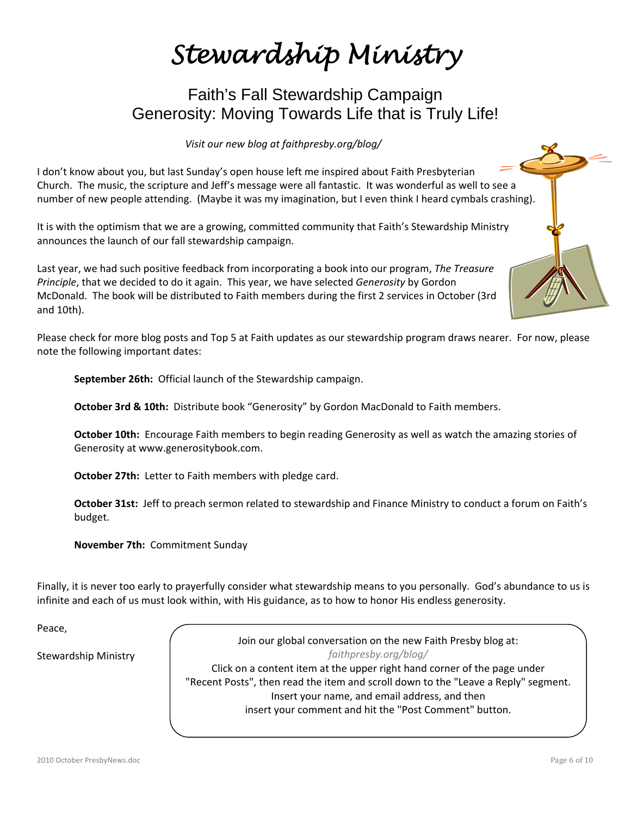## *Stewardship Ministry*

## Faith's Fall Stewardship Campaign Generosity: Moving Towards Life that is Truly Life!

*Visit our new blog at faithpresby.org/blog/*

I don't know about you, but last Sunday's open house left me inspired about Faith Presbyterian Church. The music, the scripture and Jeff's message were all fantastic. It was wonderful as well to see a number of new people attending. (Maybe it was my imagination, but I even think I heard cymbals crashing).

It is with the optimism that we are a growing, committed community that Faith's Stewardship Ministry announces the launch of our fall stewardship campaign.

Last year, we had such positive feedback from incorporating a book into our program, *The Treasure Principle*, that we decided to do it again. This year, we have selected *Generosity* by Gordon McDonald. The book will be distributed to Faith members during the first 2 services in October (3rd and 10th).

Please check for more blog posts and Top 5 at Faith updates as our stewardship program draws nearer. For now, please note the following important dates:

**September 26th:** Official launch of the Stewardship campaign.

**October 3rd & 10th:** Distribute book "Generosity" by Gordon MacDonald to Faith members.

**October 10th:** Encourage Faith members to begin reading Generosity as well as watch the amazing stories of Generosity at www.generositybook.com.

**October 27th:** Letter to Faith members with pledge card.

**October 31st:** Jeff to preach sermon related to stewardship and Finance Ministry to conduct a forum on Faith's budget.

**November 7th:** Commitment Sunday

Finally, it is never too early to prayerfully consider what stewardship means to you personally. God's abundance to us is infinite and each of us must look within, with His guidance, as to how to honor His endless generosity.

Peace,

Stewardship Ministry

Join our global conversation on the new Faith Presby blog at: *faithpresby.org/blog/* Click on a content item at the upper right hand corner of the page under "Recent Posts", then read the item and scroll down to the "Leave a Reply" segment. Insert your name, and email address, and then insert your comment and hit the "Post Comment" button.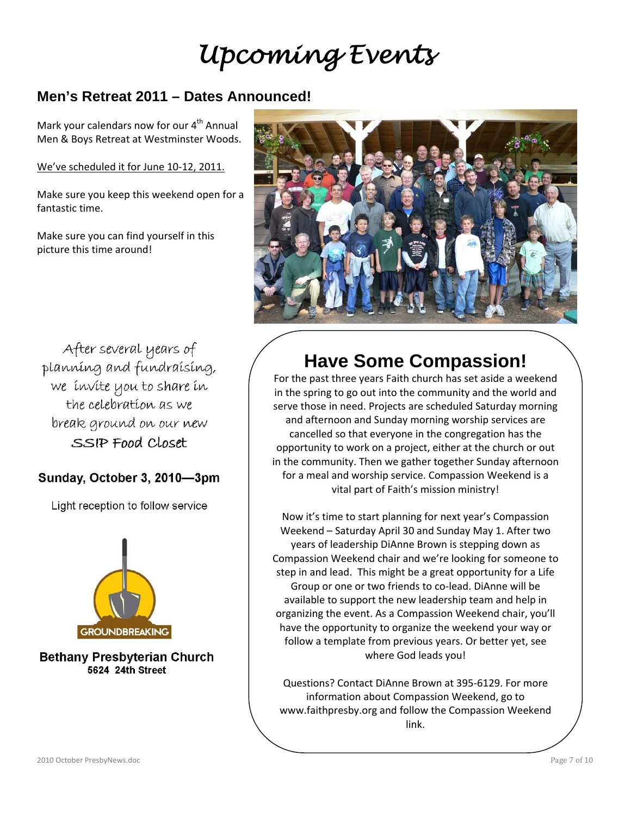## *Upcoming Events*

## **Men's Retreat 2011 – Dates Announced!**

Mark your calendars now for our  $4^{\text{th}}$  Annual Men & Boys Retreat at Westminster Woods.

We've scheduled it for June 10‐12, 2011.

Make sure you keep this weekend open for a fantastic time.

Make sure you can find yourself in this picture this time around!



After several years of planning and fundraising, we invite you to share in the celebration as we break ground on our new SSIP Food Closet

#### Sunday, October 3, 2010-3pm

Light reception to follow service



**Bethany Presbyterian Church** 5624 24th Street

## **Have Some Compassion!**

For the past three years Faith church has set aside a weekend in the spring to go out into the community and the world and serve those in need. Projects are scheduled Saturday morning and afternoon and Sunday morning worship services are cancelled so that everyone in the congregation has the opportunity to work on a project, either at the church or out in the community. Then we gather together Sunday afternoon for a meal and worship service. Compassion Weekend is a vital part of Faith's mission ministry!

Now it's time to start planning for next year's Compassion Weekend – Saturday April 30 and Sunday May 1. After two years of leadership DiAnne Brown is stepping down as Compassion Weekend chair and we're looking for someone to step in and lead. This might be a great opportunity for a Life Group or one or two friends to co‐lead. DiAnne will be available to support the new leadership team and help in organizing the event. As a Compassion Weekend chair, you'll have the opportunity to organize the weekend your way or follow a template from previous years. Or better yet, see where God leads you!

Questions? Contact DiAnne Brown at 395‐6129. For more information about Compassion Weekend, go to www.faithpresby.org and follow the Compassion Weekend link.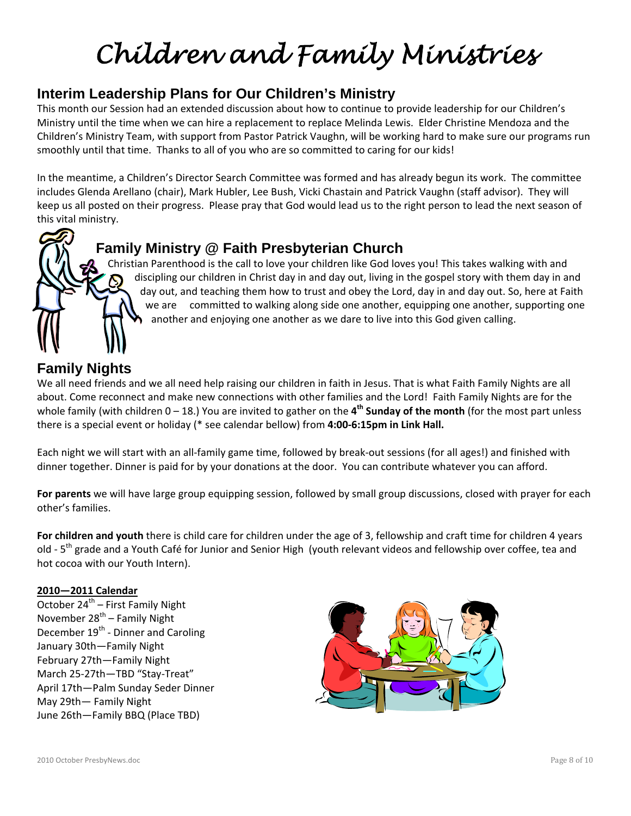# *Children and Family Ministries*

## **Interim Leadership Plans for Our Children's Ministry**

This month our Session had an extended discussion about how to continue to provide leadership for our Children's Ministry until the time when we can hire a replacement to replace Melinda Lewis. Elder Christine Mendoza and the Children's Ministry Team, with support from Pastor Patrick Vaughn, will be working hard to make sure our programs run smoothly until that time. Thanks to all of you who are so committed to caring for our kids!

In the meantime, a Children's Director Search Committee was formed and has already begun its work. The committee includes Glenda Arellano (chair), Mark Hubler, Lee Bush, Vicki Chastain and Patrick Vaughn (staff advisor). They will keep us all posted on their progress. Please pray that God would lead us to the right person to lead the next season of this vital ministry.



## **Family Ministry @ Faith Presbyterian Church**

Christian Parenthood is the call to love your children like God loves you! This takes walking with and discipling our children in Christ day in and day out, living in the gospel story with them day in and day out, and teaching them how to trust and obey the Lord, day in and day out. So, here at Faith we are committed to walking along side one another, equipping one another, supporting one another and enjoying one another as we dare to live into this God given calling.

## **Family Nights**

We all need friends and we all need help raising our children in faith in Jesus. That is what Faith Family Nights are all about. Come reconnect and make new connections with other families and the Lord! Faith Family Nights are for the whole family (with children 0 – 18.) You are invited to gather on the **4th Sunday of the month** (for the most part unless there is a special event or holiday (\* see calendar bellow) from **4:00‐6:15pm in Link Hall.** 

Each night we will start with an all‐family game time, followed by break‐out sessions (for all ages!) and finished with dinner together. Dinner is paid for by your donations at the door. You can contribute whatever you can afford.

**For parents** we will have large group equipping session, followed by small group discussions, closed with prayer for each other's families.

**For children and youth** there is child care for children under the age of 3, fellowship and craft time for children 4 years old - 5<sup>th</sup> grade and a Youth Café for Junior and Senior High (youth relevant videos and fellowship over coffee, tea and hot cocoa with our Youth Intern).

#### **2010—2011 Calendar**

October 24<sup>th</sup> – First Family Night November  $28^{th}$  – Family Night December 19<sup>th</sup> - Dinner and Caroling January 30th—Family Night February 27th—Family Night March 25‐27th—TBD "Stay‐Treat" April 17th—Palm Sunday Seder Dinner May 29th— Family Night June 26th—Family BBQ (Place TBD)

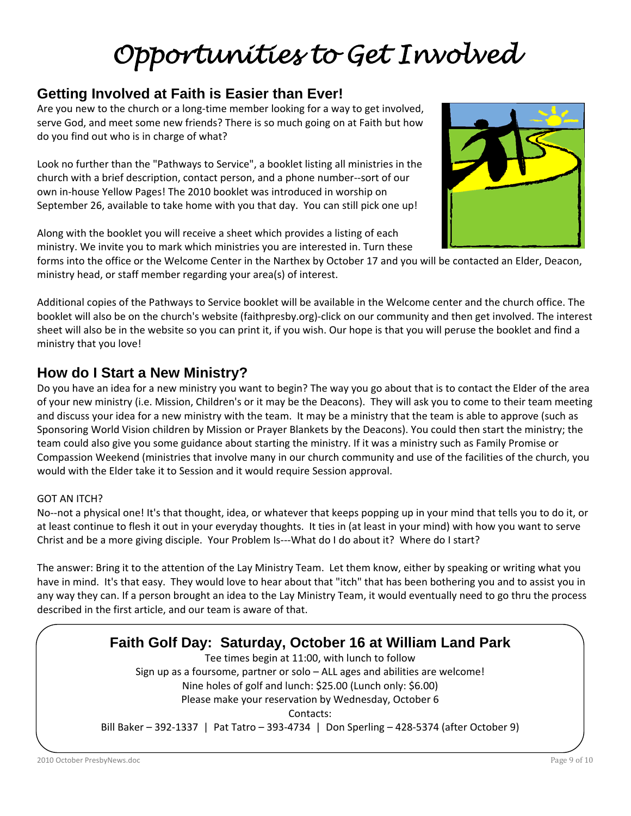## *Opportunities to Get Involved*

## **Getting Involved at Faith is Easier than Ever!**

Are you new to the church or a long‐time member looking for a way to get involved, serve God, and meet some new friends? There is so much going on at Faith but how do you find out who is in charge of what?

Look no further than the "Pathways to Service", a booklet listing all ministries in the church with a brief description, contact person, and a phone number‐‐sort of our own in‐house Yellow Pages! The 2010 booklet was introduced in worship on September 26, available to take home with you that day. You can still pick one up!

Along with the booklet you will receive a sheet which provides a listing of each ministry. We invite you to mark which ministries you are interested in. Turn these



forms into the office or the Welcome Center in the Narthex by October 17 and you will be contacted an Elder, Deacon, ministry head, or staff member regarding your area(s) of interest.

Additional copies of the Pathways to Service booklet will be available in the Welcome center and the church office. The booklet will also be on the church's website (faithpresby.org)‐click on our community and then get involved. The interest sheet will also be in the website so you can print it, if you wish. Our hope is that you will peruse the booklet and find a ministry that you love!

## **How do I Start a New Ministry?**

Do you have an idea for a new ministry you want to begin? The way you go about that is to contact the Elder of the area of your new ministry (i.e. Mission, Children's or it may be the Deacons). They will ask you to come to their team meeting and discuss your idea for a new ministry with the team. It may be a ministry that the team is able to approve (such as Sponsoring World Vision children by Mission or Prayer Blankets by the Deacons). You could then start the ministry; the team could also give you some guidance about starting the ministry. If it was a ministry such as Family Promise or Compassion Weekend (ministries that involve many in our church community and use of the facilities of the church, you would with the Elder take it to Session and it would require Session approval.

#### GOT AN ITCH?

No--not a physical one! It's that thought, idea, or whatever that keeps popping up in your mind that tells you to do it, or at least continue to flesh it out in your everyday thoughts. It ties in (at least in your mind) with how you want to serve Christ and be a more giving disciple. Your Problem Is—What do I do about it? Where do I start?

The answer: Bring it to the attention of the Lay Ministry Team. Let them know, either by speaking or writing what you have in mind. It's that easy. They would love to hear about that "itch" that has been bothering you and to assist you in any way they can. If a person brought an idea to the Lay Ministry Team, it would eventually need to go thru the process described in the first article, and our team is aware of that.

### **Faith Golf Day: Saturday, October 16 at William Land Park**  Tee times begin at 11:00, with lunch to follow Sign up as a foursome, partner or solo – ALL ages and abilities are welcome! Nine holes of golf and lunch: \$25.00 (Lunch only: \$6.00) Please make your reservation by Wednesday, October 6 Contacts:

Bill Baker – 392‐1337 | Pat Tatro – 393‐4734 | Don Sperling – 428‐5374 (after October 9)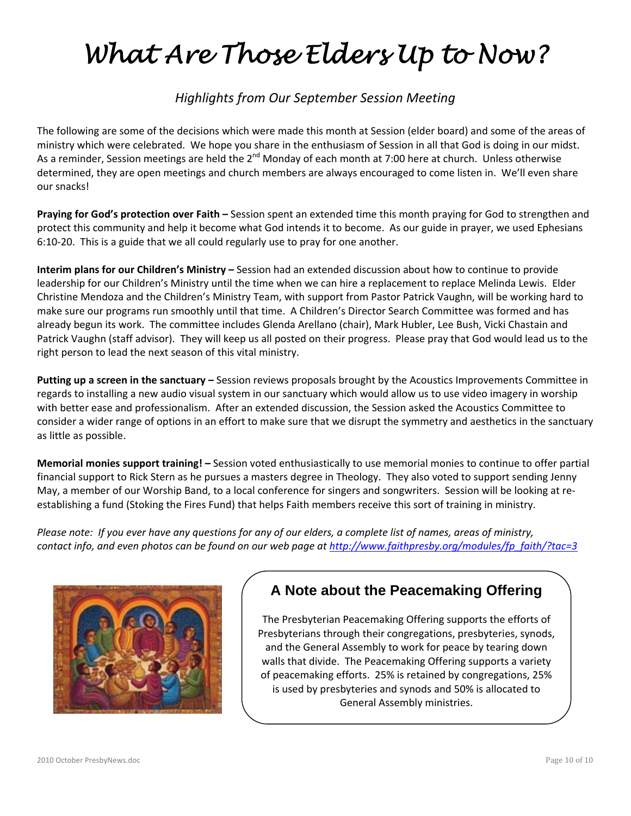# *What Are Those Elders Up to Now?*

### *Highlights from Our September Session Meeting*

The following are some of the decisions which were made this month at Session (elder board) and some of the areas of ministry which were celebrated. We hope you share in the enthusiasm of Session in all that God is doing in our midst. As a reminder, Session meetings are held the 2<sup>nd</sup> Monday of each month at 7:00 here at church. Unless otherwise determined, they are open meetings and church members are always encouraged to come listen in. We'll even share our snacks!

**Praying for God's protection over Faith –** Session spent an extended time this month praying for God to strengthen and protect this community and help it become what God intends it to become. As our guide in prayer, we used Ephesians 6:10‐20. This is a guide that we all could regularly use to pray for one another.

**Interim plans for our Children's Ministry –** Session had an extended discussion about how to continue to provide leadership for our Children's Ministry until the time when we can hire a replacement to replace Melinda Lewis. Elder Christine Mendoza and the Children's Ministry Team, with support from Pastor Patrick Vaughn, will be working hard to make sure our programs run smoothly until that time. A Children's Director Search Committee was formed and has already begun its work. The committee includes Glenda Arellano (chair), Mark Hubler, Lee Bush, Vicki Chastain and Patrick Vaughn (staff advisor). They will keep us all posted on their progress. Please pray that God would lead us to the right person to lead the next season of this vital ministry.

**Putting up a screen in the sanctuary –** Session reviews proposals brought by the Acoustics Improvements Committee in regards to installing a new audio visual system in our sanctuary which would allow us to use video imagery in worship with better ease and professionalism. After an extended discussion, the Session asked the Acoustics Committee to consider a wider range of options in an effort to make sure that we disrupt the symmetry and aesthetics in the sanctuary as little as possible.

**Memorial monies support training! –** Session voted enthusiastically to use memorial monies to continue to offer partial financial support to Rick Stern as he pursues a masters degree in Theology. They also voted to support sending Jenny May, a member of our Worship Band, to a local conference for singers and songwriters. Session will be looking at re‐ establishing a fund (Stoking the Fires Fund) that helps Faith members receive this sort of training in ministry.

Please note: If you ever have any questions for any of our elders, a complete list of names, areas of ministry, *contact info, and even photos can be found on our web page at http://www.faithpresby.org/modules/fp\_faith/?tac=3* 



## **A Note about the Peacemaking Offering**

The Presbyterian Peacemaking Offering supports the efforts of Presbyterians through their congregations, presbyteries, synods, and the General Assembly to work for peace by tearing down walls that divide. The Peacemaking Offering supports a variety of peacemaking efforts. 25% is retained by congregations, 25% is used by presbyteries and synods and 50% is allocated to General Assembly ministries.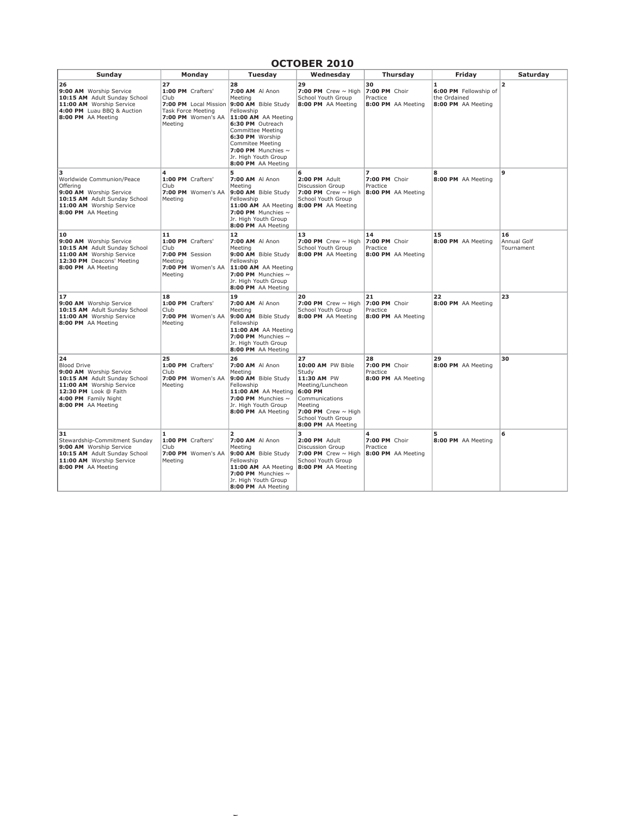#### **OCTOBER 2010**

| Sunday                                                                                                                                                                                 | Monday                                                                                                                 | Tuesday                                                                                                                                                                                                                                                             | Wednesday                                                                                                                                                                           | Thursday                                              | Friday                                                                      | Saturday                        |
|----------------------------------------------------------------------------------------------------------------------------------------------------------------------------------------|------------------------------------------------------------------------------------------------------------------------|---------------------------------------------------------------------------------------------------------------------------------------------------------------------------------------------------------------------------------------------------------------------|-------------------------------------------------------------------------------------------------------------------------------------------------------------------------------------|-------------------------------------------------------|-----------------------------------------------------------------------------|---------------------------------|
| 26<br>9:00 AM Worship Service<br>10:15 AM Adult Sunday School<br>11:00 AM Worship Service<br>4:00 PM Luau BBQ & Auction<br>8:00 PM AA Meeting                                          | 27<br>1:00 PM Crafters'<br>Club<br>7:00 PM Local Mission<br><b>Task Force Meeting</b><br>7:00 PM Women's AA<br>Meeting | 28<br>7:00 AM Al Anon<br>Meeting<br>9:00 AM Bible Study<br>Fellowship<br>11:00 AM AA Meeting<br>6:30 PM Outreach<br><b>Committee Meeting</b><br>6:30 PM Worship<br><b>Commitee Meeting</b><br>7:00 PM Munchies $\sim$<br>Jr. High Youth Group<br>8:00 PM AA Meeting | 29<br>7:00 PM Crew $\sim$ High<br>School Youth Group<br>8:00 PM AA Meeting                                                                                                          | 30<br>7:00 PM Choir<br>Practice<br>8:00 PM AA Meeting | $\mathbf{1}$<br>6:00 PM Fellowship of<br>the Ordained<br>8:00 PM AA Meeting | 2                               |
| з<br>Worldwide Communion/Peace<br>Offering<br>9:00 AM Worship Service<br>10:15 AM Adult Sunday School<br>11:00 AM Worship Service<br>8:00 PM AA Meeting                                | 4<br>1:00 PM Crafters'<br>Club<br>7:00 PM Women's AA<br>Meeting                                                        | 5<br>7:00 AM Al Anon<br>Meeting<br>9:00 AM Bible Study<br>Fellowship<br>11:00 AM AA Meeting<br>7:00 PM Munchies $\sim$<br>Jr. High Youth Group<br>8:00 PM AA Meeting                                                                                                | 6<br>2:00 PM Adult<br><b>Discussion Group</b><br>7:00 PM Crew $\sim$ High<br>School Youth Group<br>8:00 PM AA Meeting                                                               | 7<br>7:00 PM Choir<br>Practice<br>8:00 PM AA Meeting  | 8<br>8:00 PM AA Meeting                                                     | $\mathbf{9}$                    |
| 10<br>9:00 AM Worship Service<br>10:15 AM Adult Sunday School<br>11:00 AM Worship Service<br>12:30 PM Deacons' Meeting<br>8:00 PM AA Meeting                                           | 11<br>1:00 PM Crafters'<br>Club<br>7:00 PM Session<br>Meeting<br>7:00 PM Women's AA<br>Meeting                         | 12<br>7:00 AM Al Anon<br>Meeting<br>9:00 AM Bible Study<br>Fellowship<br>11:00 AM AA Meeting<br>7:00 PM Munchies $\sim$<br>Jr. High Youth Group<br>8:00 PM AA Meeting                                                                                               | 13<br>7:00 PM Crew $\sim$ High<br>School Youth Group<br>8:00 PM AA Meeting                                                                                                          | 14<br>7:00 PM Choir<br>Practice<br>8:00 PM AA Meeting | 15<br>8:00 PM AA Meeting                                                    | 16<br>Annual Golf<br>Tournament |
| 17<br>9:00 AM Worship Service<br>10:15 AM Adult Sunday School<br>11:00 AM Worship Service<br>8:00 PM AA Meeting                                                                        | 18<br>1:00 PM Crafters'<br>Club<br>7:00 PM Women's AA<br>Meeting                                                       | 19<br>7:00 AM Al Anon<br>Meeting<br>9:00 AM Bible Study<br>Fellowship<br>11:00 AM AA Meeting<br>7:00 PM Munchies $\sim$<br>Jr. High Youth Group<br>8:00 PM AA Meeting                                                                                               | 20<br>7:00 PM Crew $\sim$ High<br>School Youth Group<br>8:00 PM AA Meeting                                                                                                          | 21<br>7:00 PM Choir<br>Practice<br>8:00 PM AA Meeting | 22<br>8:00 PM AA Meeting                                                    | 23                              |
| 24<br><b>Blood Drive</b><br>9:00 AM Worship Service<br>10:15 AM Adult Sunday School<br>11:00 AM Worship Service<br>12:30 PM Look @ Faith<br>4:00 PM Family Night<br>8:00 PM AA Meeting | 25<br>1:00 PM Crafters'<br>Club<br>7:00 PM Women's AA<br>Meeting                                                       | 26<br>7:00 AM Al Anon<br>Meeting<br>9:00 AM Bible Study<br>Fellowship<br>11:00 AM AA Meeting<br>7:00 PM Munchies $\sim$<br>Jr. High Youth Group<br>8:00 PM AA Meeting                                                                                               | 27<br>10:00 AM PW Bible<br>Study<br>11:30 AM PW<br>Meeting/Luncheon<br>6:00 PM<br>Communications<br>Meeting<br>7:00 PM Crew $\sim$ High<br>School Youth Group<br>8:00 PM AA Meeting | 28<br>7:00 PM Choir<br>Practice<br>8:00 PM AA Meeting | 29<br>8:00 PM AA Meeting                                                    | 30                              |
| 31<br>Stewardship-Commitment Sunday<br>9:00 AM Worship Service<br>10:15 AM Adult Sunday School<br>11:00 AM Worship Service<br>8:00 PM AA Meeting                                       | 1<br>1:00 PM Crafters'<br>Club<br>7:00 PM Women's AA<br>Meeting                                                        | $\overline{2}$<br>7:00 AM Al Anon<br>Meeting<br>9:00 AM Bible Study<br>Fellowship<br>11:00 AM AA Meeting<br>7:00 PM Munchies $\sim$<br>Jr. High Youth Group<br>8:00 PM AA Meeting                                                                                   | 3<br>2:00 PM Adult<br>Discussion Group<br>7:00 PM Crew $\sim$ High<br>School Youth Group<br>8:00 PM AA Meeting                                                                      | 4<br>7:00 PM Choir<br>Practice<br>8:00 PM AA Meeting  | 5<br>8:00 PM AA Meeting                                                     | 6                               |

 $f\in\mathcal{D}$  and  $\mathcal{D}$  and  $\mathcal{D}$  or  $S$  . Studies  $S$  is  $S$  or  $N$  .  $S$  or  $N$